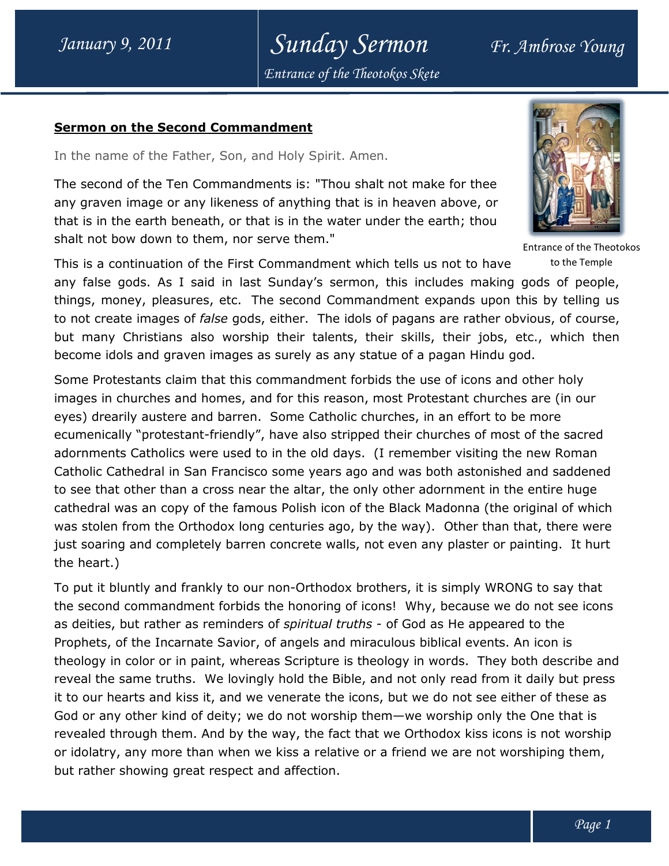## Sunday Sermon Fr. Ambrose Young Entrance of the Theotokos Skete

## Sermon on the Second Commandment Commandment

In the name of the Father, Son, and Holy Spirit. Amen.

The second of the Ten Commandments is: "Thou shalt not make for thee any graven image or any likeness of anything that is in heaven above, or that is in the earth beneath, or that is in the water under the earth; thou shalt not bow down to them, nor serve them." In the name of the Father, Son, and Holy Spirit. Amen.<br>The second of the Ten Commandments is: "Thou shalt not make for thee<br>any graven image or any likeness of anything that is in heaven above, or<br>that is in the earth bene



to the Temple

This is a continuation of the First Commandment which tells us not to have any false gods. As I said in last Sunday's sermon, this includes making gods of people, This is a continuation of the First Commandment which tells us not to have sto the Temple<br>any false gods. As I said in last Sunday's sermon, this includes making gods of people,<br>things, money, pleasures, etc. The second Co to not create images of *false* gods, either. The idols of pagans are rather obvious, of course, but many Christians also worship their talents, their skills, their jobs, etc., which then<br>become idols and graven images as surely as any statue of a pagan Hindu god. become idols and graven images as surely as any statue of a pagan Hindu god.

Some Protestants claim that this commandment forbids the use of icons and other holy images in churches and homes, and for this reason, most Protestant churches are (in our Some Protestants claim that this commandment forbids the use of icons and other h<br>images in churches and homes, and for this reason, most Protestant churches are (ii<br>eyes) drearily austere and barren. Some Catholic churche ecumenically "protestant-friendly", have also stripped their churches of most of the sacred ecumenically "protestant-friendly", have also stripped their churches of most of the sacred<br>adornments Catholics were used to in the old days. (I remember visiting the new Roman Catholic Cathedral in San Francisco some years ago and was both astonished and saddened to see that other than a cross near the altar, the only other adornment in the entire huge cathedral was an copy of the famous Polish icon of the Black Madonna (the original of which cathedral was an copy of the famous Polish icon of the Black Madonna (the original of which<br>was stolen from the Orthodox long centuries ago, by the way). Other than that, there were just soaring and completely barren concrete walls, not even any plaster or painting. It hurt the heart.) just soaring and completely barren concrete walls, not even any plaster or painting. It hur!<br>the heart.)<br>To put it bluntly and frankly to our non-Orthodox brothers, it is simply WRONG to say that of pagans are rather obvious, of course<br>neir skills, their jobs, etc., which then<br>tue of a pagan Hindu god.<br>ids the use of icons and other holy<br>most Protestant churches are (in our<br>urches, in an effort to be more<br>d their c Entrance of the Theotokos<br>
andment which tells us not to have to the Temple)<br>
clay's sermon, this includes making gods of people,<br>
cond Commandment expands upon this by telling us<br>
er. The idols of pagans are rather obviou

the second commandment forbids the honoring of icons! Why, because we do not see icons as deities, but rather as reminders of spiritual truths - of God as He appeared to the Prophets, of the Incarnate Savior, of angels and miraculous biblical events. An icon is Prophets, of the Incarnate Savior, of angels and miraculous biblical events. An icon is<br>theology in color or in paint, whereas Scripture is theology in words. They both describe and reveal the same truths. We lovingly hold the Bible, and not only read from it daily but press reveal the same truths. We lovingly hold the Bible, and not only read from it daily but pres:<br>it to our hearts and kiss it, and we venerate the icons, but we do not see either of these as God or any other kind of deity; we do not worship them—we worship only the One that is revealed through them. And by the way, the fact that we Orthodox kiss icons is not worship revealed through them. And by the way, the fact that we Orthodox kiss icons is not worship<br>or idolatry, any more than when we kiss a relative or a friend we are not worshiping them, but rather showing great respect and affection.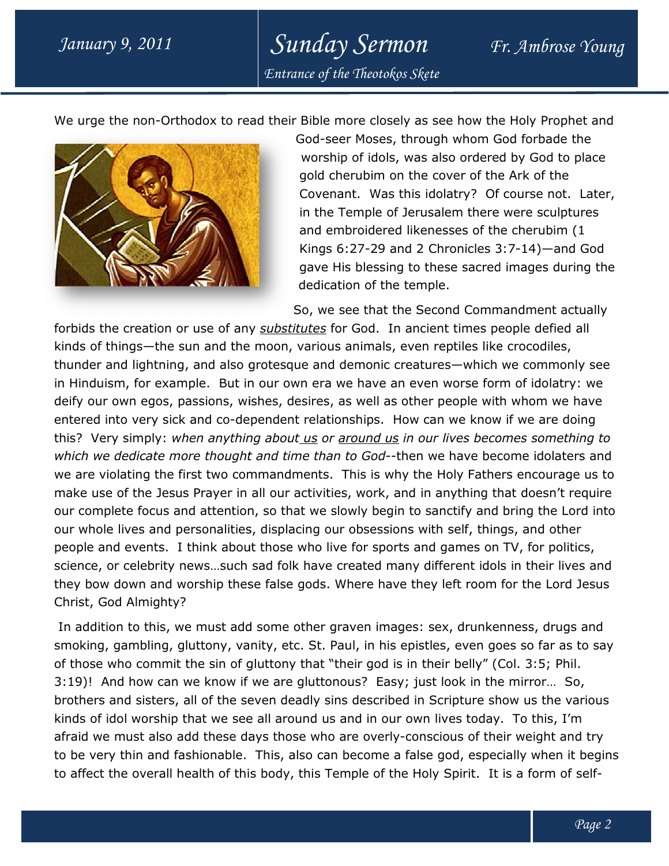Sunday Sermon Fr. Ambrose Young Entrance of the Theotokos Skete

We urge the non-Orthodox to read their Bible more closely as see how the Holy Prophet and



God-seer Moses, through whom God forbade the worship of idols, was also ordered by God to place gold cherubim on the cover of the Ark of the God-seer Moses, through whom God forbade the<br>worship of idols, was also ordered by God to place<br>gold cherubim on the cover of the Ark of the<br>Covenant. Was this idolatry? Of course not. Later, in the Temple of Jerusalem there were sculptures and embroidered likenesses of the cherubim (1 in the Temple of Jerusalem there were sculptures<br>and embroidered likenesses of the cherubim (1<br>Kings 6:27-29 and 2 Chronicles 3:7-14)—and God gave His blessing to these sacred images during the dedication of the temple.

So, we see that the Second Commandment actually

forbids the creation or use of any substitutes for God. In ancient times people defied all kinds of things—the sun and the moon, various animals, even reptiles like crocodiles, forbids the creation or use of any <u>substitutes</u> for God. In ancient times people defied all<br>kinds of things—the sun and the moon, various animals, even reptiles like crocodiles,<br>thunder and lightning, and also grotesque a in Hinduism, for example. But in our own era we have an even worse form of idolatry: we deify our own egos, passions, wishes, desires, as well as other people with whom we have entered into very sick and co-dependent relationships. How can we know if we are doing this? Very simply: when anything about us or around us in our lives becomes something to which we dedicate more thought and time than to God--then we have become idolaters and entered into very sick and co-dependent relationships. How can we know if we are doing<br>this? Very simply: *when anything about\_us or <u>around us</u> in our lives becomes something to*<br>*which we dedicate more thought and time t* make use of the Jesus Prayer in all our activities, work, and in anything that doesn't require our complete focus and attention, so that we slowly begin to sanctify and bring the Lord into our whole lives and personalities, displacing our obsessions with self, things, and other people and events. I think about those who live for sports and games on TV, for politics, science, or celebrity news…such sad folk have created many different idols in their lives and they bow down and worship these false gods. Where have they left room for the Lord Jesus Christ, God Almighty? But in our own era we have an even worse form of idolatry: we<br>1s, wishes, desires, as well as other people with whom we have<br>co-dependent relationships. How can we know if we are doing of the Jesus Prayer in all our activities, work, and in anything that doesn't recte focus and attention, so that we slowly begin to sanctify and bring the Lordives and personalities, displacing our obsessions with self, th

 In addition to this, we must add some other graven images: sex, drunkenness, drugs and smoking, gambling, gluttony, vanity, etc. St. Paul, in his epistles, even goes so far as to say of those who commit the sin of gluttony that "their god is in their belly" (Col. 3:5; Phil. 3:19)! And how can we know if we are gluttonous? Easy; just look in the mirror... So, brothers and sisters, all of the seven deadly sins described in Scripture show us the various kinds of idol worship that we see all around us and in our own lives today. To this, I'm brothers and sisters, all of the seven deadly sins described in Scripture show us the various<br>kinds of idol worship that we see all around us and in our own lives today. To this, I'm<br>afraid we must also add these days tho afraid we must also add these days those who are overly-conscious of their weight and try<br>to be very thin and fashionable. This, also can become a false god, especially when it begins to affect the overall health of this body, this Temple of the Holy Spirit. It is a form of selfdd some other graven images: sex, drunkenness, drugs a<br>vanity, etc. St. Paul, in his epistles, even goes so far as to<br>f gluttony that "their god is in their belly" (Col. 3:5; Phil.<br>if we are gluttonous? Easy; just look in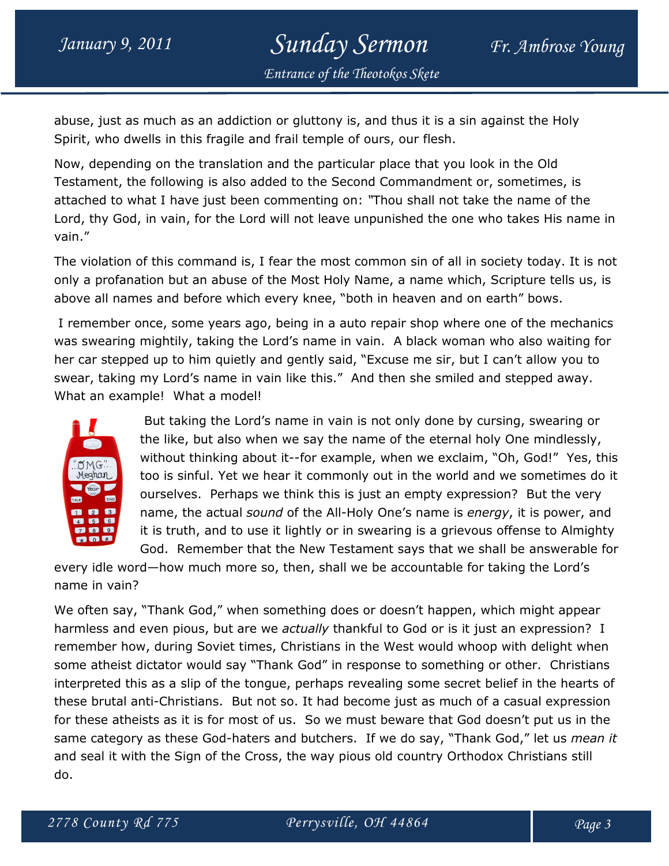## January 9, 2011 Sunday Sermon Fr. Ambrose Young Entrance of the Theotokos Skete

abuse, just as much as an addiction or gluttony is, and thus it is a sin against the Holy Spirit, who dwells in this fragile and frail temple of ours, our flesh.

Now, depending on the translation and the particular place that you look in the Old Testament, the following is also added to the Second Commandment or, sometimes, is attached to what I have just been commenting on: "Thou shall not take the name of the Lord, thy God, in vain, for the Lord will not leave unpunished the one who takes His name in vain."

The violation of this command is, I fear the most common sin of all in society today. It is not only a profanation but an abuse of the Most Holy Name, a name which, Scripture tells us, is above all names and before which every knee, "both in heaven and on earth" bows.

 I remember once, some years ago, being in a auto repair shop where one of the mechanics was swearing mightily, taking the Lord's name in vain. A black woman who also waiting for her car stepped up to him quietly and gently said, "Excuse me sir, but I can't allow you to swear, taking my Lord's name in vain like this." And then she smiled and stepped away. What an example! What a model!



 But taking the Lord's name in vain is not only done by cursing, swearing or the like, but also when we say the name of the eternal holy One mindlessly, without thinking about it--for example, when we exclaim, "Oh, God!" Yes, this too is sinful. Yet we hear it commonly out in the world and we sometimes do it ourselves. Perhaps we think this is just an empty expression? But the very name, the actual *sound* of the All-Holy One's name is energy, it is power, and it is truth, and to use it lightly or in swearing is a grievous offense to Almighty God. Remember that the New Testament says that we shall be answerable for

every idle word—how much more so, then, shall we be accountable for taking the Lord's name in vain?

We often say, "Thank God," when something does or doesn't happen, which might appear harmless and even pious, but are we *actually* thankful to God or is it just an expression? I remember how, during Soviet times, Christians in the West would whoop with delight when some atheist dictator would say "Thank God" in response to something or other. Christians interpreted this as a slip of the tongue, perhaps revealing some secret belief in the hearts of these brutal anti-Christians. But not so. It had become just as much of a casual expression for these atheists as it is for most of us. So we must beware that God doesn't put us in the same category as these God-haters and butchers. If we do say, "Thank God," let us *mean it* and seal it with the Sign of the Cross, the way pious old country Orthodox Christians still do.